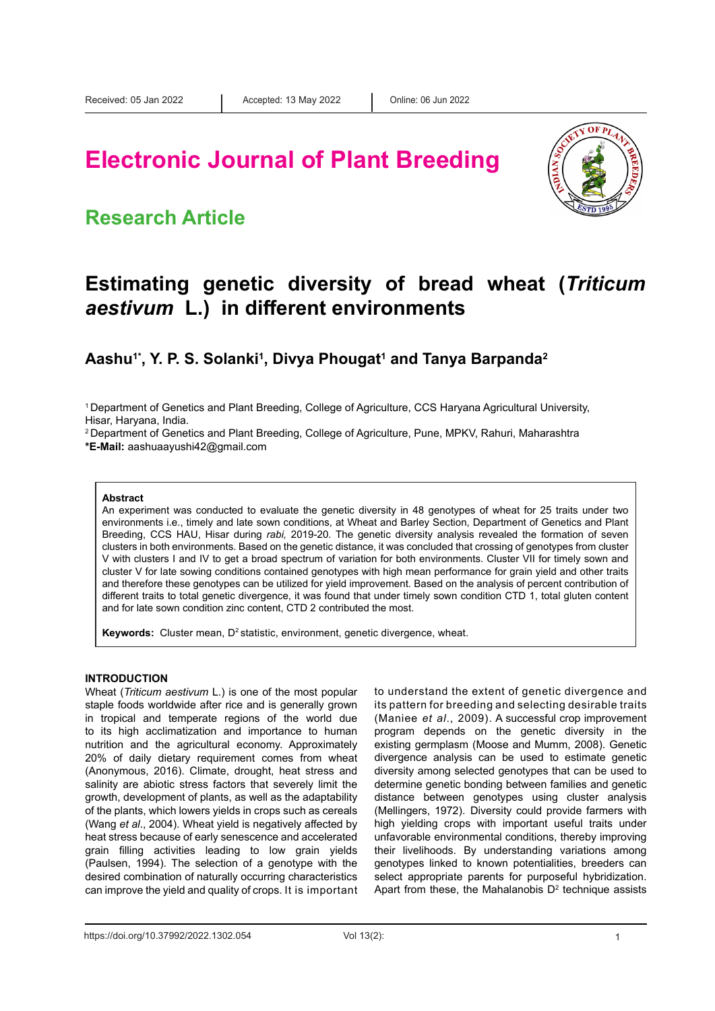# **Electronic Journal of Plant Breeding**

### **Research Article**



### **Estimating genetic diversity of bread wheat (***Triticum aestivum* **L.) in different environments**

Aashu<sup>1\*</sup>, Y. P. S. Solanki<sup>1</sup>, Divya Phougat<sup>1</sup> and Tanya Barpanda<sup>2</sup>

1 Department of Genetics and Plant Breeding, College of Agriculture, CCS Haryana Agricultural University, Hisar, Haryana, India.

2 Department of Genetics and Plant Breeding, College of Agriculture, Pune, MPKV, Rahuri, Maharashtra **\*E-Mail:** aashuaayushi42@gmail.com

#### **Abstract**

An experiment was conducted to evaluate the genetic diversity in 48 genotypes of wheat for 25 traits under two environments i.e., timely and late sown conditions, at Wheat and Barley Section, Department of Genetics and Plant Breeding, CCS HAU, Hisar during *rabi,* 2019-20. The genetic diversity analysis revealed the formation of seven clusters in both environments. Based on the genetic distance, it was concluded that crossing of genotypes from cluster V with clusters I and IV to get a broad spectrum of variation for both environments. Cluster VII for timely sown and cluster V for late sowing conditions contained genotypes with high mean performance for grain yield and other traits and therefore these genotypes can be utilized for yield improvement. Based on the analysis of percent contribution of different traits to total genetic divergence, it was found that under timely sown condition CTD 1, total gluten content and for late sown condition zinc content, CTD 2 contributed the most.

Keywords: Cluster mean, D<sup>2</sup> statistic, environment, genetic divergence, wheat.

#### **INTRODUCTION**

Wheat (*Triticum aestivum* L.) is one of the most popular staple foods worldwide after rice and is generally grown in tropical and temperate regions of the world due to its high acclimatization and importance to human nutrition and the agricultural economy. Approximately 20% of daily dietary requirement comes from wheat (Anonymous, 2016). Climate, drought, heat stress and salinity are abiotic stress factors that severely limit the growth, development of plants, as well as the adaptability of the plants, which lowers yields in crops such as cereals (Wang *et al*., 2004). Wheat yield is negatively affected by heat stress because of early senescence and accelerated grain filling activities leading to low grain yields (Paulsen, 1994). The selection of a genotype with the desired combination of naturally occurring characteristics can improve the yield and quality of crops. It is important

to understand the extent of genetic divergence and its pattern for breeding and selecting desirable traits (Maniee *et al*., 2009). A successful crop improvement program depends on the genetic diversity in the existing germplasm (Moose and Mumm, 2008). Genetic divergence analysis can be used to estimate genetic diversity among selected genotypes that can be used to determine genetic bonding between families and genetic distance between genotypes using cluster analysis (Mellingers, 1972). Diversity could provide farmers with high yielding crops with important useful traits under unfavorable environmental conditions, thereby improving their livelihoods. By understanding variations among genotypes linked to known potentialities, breeders can select appropriate parents for purposeful hybridization. Apart from these, the Mahalanobis  $D^2$  technique assists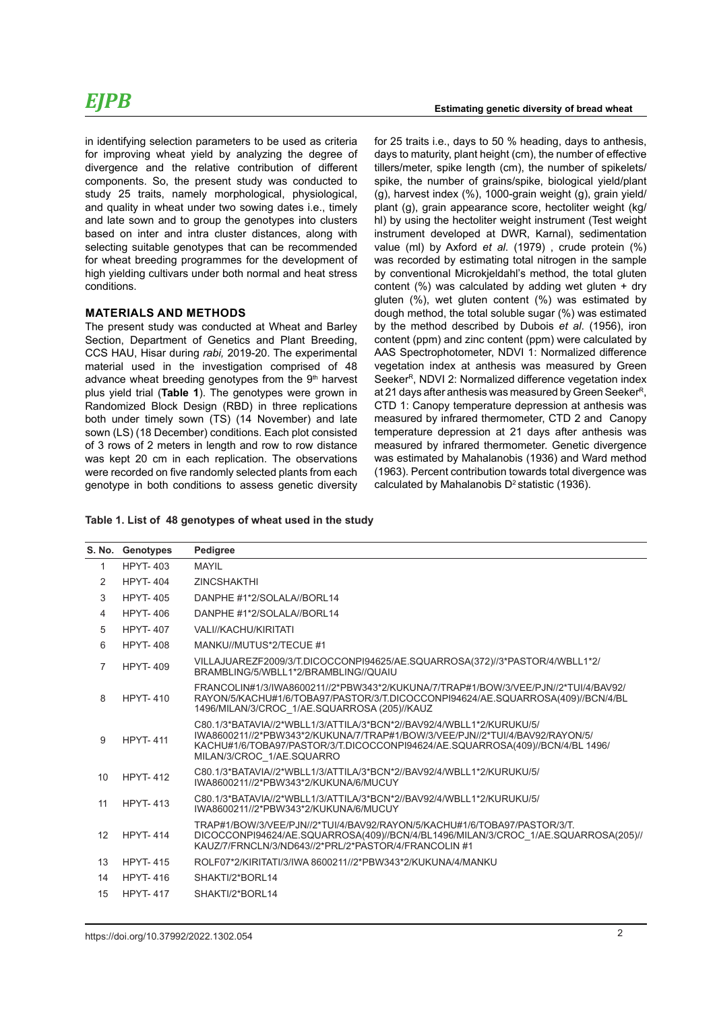in identifying selection parameters to be used as criteria for improving wheat yield by analyzing the degree of divergence and the relative contribution of different components. So, the present study was conducted to study 25 traits, namely morphological, physiological, and quality in wheat under two sowing dates i.e., timely and late sown and to group the genotypes into clusters based on inter and intra cluster distances, along with selecting suitable genotypes that can be recommended for wheat breeding programmes for the development of high yielding cultivars under both normal and heat stress conditions.

#### **MATERIALS AND METHODS**

The present study was conducted at Wheat and Barley Section, Department of Genetics and Plant Breeding, CCS HAU, Hisar during *rabi,* 2019-20. The experimental material used in the investigation comprised of 48 advance wheat breeding genotypes from the 9<sup>th</sup> harvest plus yield trial (**Table 1**). The genotypes were grown in Randomized Block Design (RBD) in three replications both under timely sown (TS) (14 November) and late sown (LS) (18 December) conditions. Each plot consisted of 3 rows of 2 meters in length and row to row distance was kept 20 cm in each replication. The observations were recorded on five randomly selected plants from each genotype in both conditions to assess genetic diversity

#### **Estimating genetic diversity of bread wheat**

for 25 traits i.e., days to 50 % heading, days to anthesis, days to maturity, plant height (cm), the number of effective tillers/meter, spike length (cm), the number of spikelets/ spike, the number of grains/spike, biological yield/plant (g), harvest index (%), 1000-grain weight (g), grain yield/ plant (g), grain appearance score, hectoliter weight (kg/ hl) by using the hectoliter weight instrument (Test weight instrument developed at DWR, Karnal), sedimentation value (ml) by Axford *et al*. (1979) , crude protein (%) was recorded by estimating total nitrogen in the sample by conventional Microkjeldahl's method, the total gluten content (%) was calculated by adding wet gluten + dry gluten (%), wet gluten content (%) was estimated by dough method, the total soluble sugar (%) was estimated by the method described by Dubois *et al*. (1956), iron content (ppm) and zinc content (ppm) were calculated by AAS Spectrophotometer, NDVI 1: Normalized difference vegetation index at anthesis was measured by Green Seeker<sup>R</sup>, NDVI 2: Normalized difference vegetation index at 21 days after anthesis was measured by Green Seeker<sup>R</sup>, CTD 1: Canopy temperature depression at anthesis was measured by infrared thermometer, CTD 2 and Canopy temperature depression at 21 days after anthesis was measured by infrared thermometer. Genetic divergence was estimated by Mahalanobis (1936) and Ward method (1963). Percent contribution towards total divergence was calculated by Mahalanobis  $D^2$  statistic (1936).

#### **Table 1. List of 48 genotypes of wheat used in the study**

|                | S. No. Genotypes | Pedigree                                                                                                                                                                                                                                                           |
|----------------|------------------|--------------------------------------------------------------------------------------------------------------------------------------------------------------------------------------------------------------------------------------------------------------------|
| $\mathbf{1}$   | <b>HPYT-403</b>  | MAYII                                                                                                                                                                                                                                                              |
| $\mathcal{P}$  | <b>HPYT-404</b>  | <b>ZINCSHAKTHI</b>                                                                                                                                                                                                                                                 |
| 3              | <b>HPYT-405</b>  | DANPHE #1*2/SOLALA//BORL14                                                                                                                                                                                                                                         |
| 4              | <b>HPYT-406</b>  | DANPHE #1*2/SOLALA//BORL14                                                                                                                                                                                                                                         |
| 5              | <b>HPYT-407</b>  | <b>VALI//KACHU/KIRITATI</b>                                                                                                                                                                                                                                        |
| 6              | <b>HPYT-408</b>  | MANKU//MUTUS*2/TECUE #1                                                                                                                                                                                                                                            |
| $\overline{7}$ | <b>HPYT-409</b>  | VILLAJUAREZF2009/3/T.DICOCCONPI94625/AE.SQUARROSA(372)//3*PASTOR/4/WBLL1*2/<br>BRAMBLING/5/WBLL1*2/BRAMBLING//QUAIU                                                                                                                                                |
| 8              | <b>HPYT-410</b>  | FRANCOLIN#1/3/IWA8600211//2*PBW343*2/KUKUNA/7/TRAP#1/BOW/3/VEE/PJN//2*TUI/4/BAV92/<br>RAYON/5/KACHU#1/6/TOBA97/PASTOR/3/T.DICOCCONPI94624/AE.SQUARROSA(409)//BCN/4/BL<br>1496/MILAN/3/CROC 1/AE.SQUARROSA (205)//KAUZ                                              |
| 9              | <b>HPYT-411</b>  | C80.1/3*BATAVIA//2*WBLL1/3/ATTILA/3*BCN*2//BAV92/4/WBLL1*2/KURUKU/5/<br>IWA8600211//2*PBW343*2/KUKUNA/7/TRAP#1/BOW/3/VEE/PJN//2*TUI/4/BAV92/RAYON/5/<br>KACHU#1/6/TOBA97/PASTOR/3/T.DICOCCONPI94624/AE.SQUARROSA(409)//BCN/4/BL 1496/<br>MILAN/3/CROC 1/AE.SQUARRO |
| 10             | <b>HPYT-412</b>  | C80.1/3*BATAVIA//2*WBLL1/3/ATTILA/3*BCN*2//BAV92/4/WBLL1*2/KURUKU/5/<br>IWA8600211//2*PBW343*2/KUKUNA/6/MUCUY                                                                                                                                                      |
| 11             | <b>HPYT-413</b>  | C80.1/3*BATAVIA//2*WBLL1/3/ATTILA/3*BCN*2//BAV92/4/WBLL1*2/KURUKU/5/<br>IWA8600211//2*PBW343*2/KUKUNA/6/MUCUY                                                                                                                                                      |
| 12             | <b>HPYT-414</b>  | TRAP#1/BOW/3/VEE/PJN//2*TUI/4/BAV92/RAYON/5/KACHU#1/6/TOBA97/PASTOR/3/T<br>DICOCCONPI94624/AE.SQUARROSA(409)//BCN/4/BL1496/MILAN/3/CROC 1/AE.SQUARROSA(205)//<br>KAUZ/7/FRNCLN/3/ND643//2*PRL/2*PASTOR/4/FRANCOLIN #1                                              |
| 13             | <b>HPYT-415</b>  | ROLF07*2/KIRITATI/3/IWA 8600211//2*PBW343*2/KUKUNA/4/MANKU                                                                                                                                                                                                         |
| 14             | <b>HPYT-416</b>  | SHAKTI/2*BORL14                                                                                                                                                                                                                                                    |
| 15             | <b>HPYT-417</b>  | SHAKTI/2*BORL14                                                                                                                                                                                                                                                    |
|                |                  |                                                                                                                                                                                                                                                                    |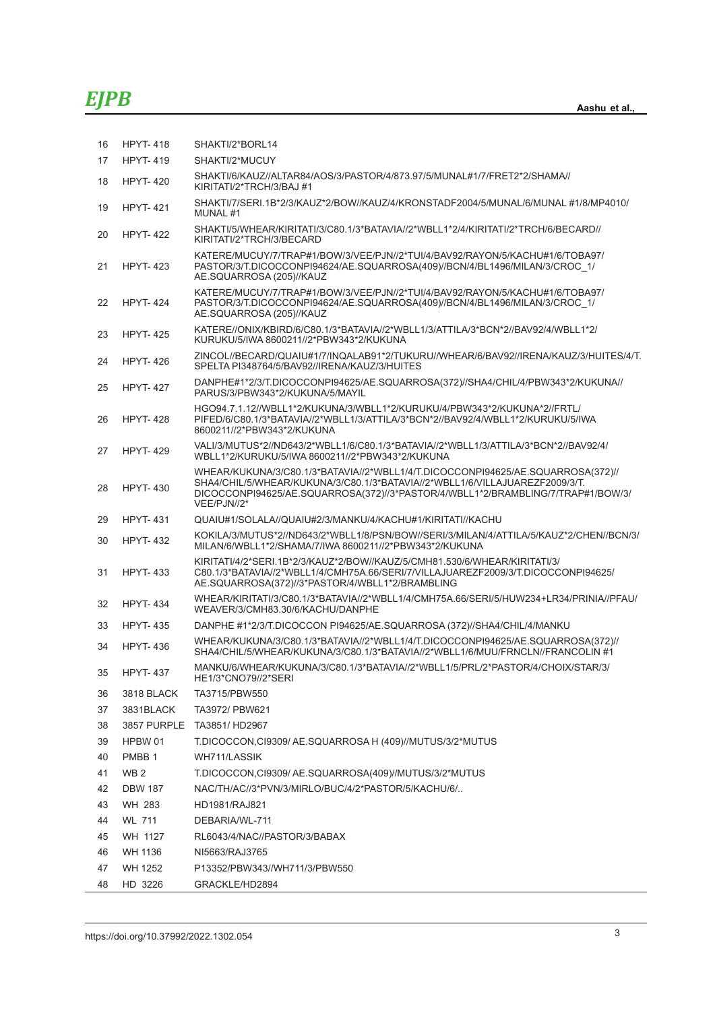| 16 | <b>HPYT-418</b>   | SHAKTI/2*BORL14                                                                                                                                                                                                                                                  |
|----|-------------------|------------------------------------------------------------------------------------------------------------------------------------------------------------------------------------------------------------------------------------------------------------------|
| 17 | <b>HPYT-419</b>   | SHAKTI/2*MUCUY                                                                                                                                                                                                                                                   |
| 18 | <b>HPYT-420</b>   | SHAKTI/6/KAUZ//ALTAR84/AOS/3/PASTOR/4/873.97/5/MUNAL#1/7/FRET2*2/SHAMA//<br>KIRITATI/2*TRCH/3/BAJ#1                                                                                                                                                              |
| 19 | <b>HPYT-421</b>   | SHAKTI/7/SERI.1B*2/3/KAUZ*2/BOW//KAUZ/4/KRONSTADF2004/5/MUNAL/6/MUNAL#1/8/MP4010/<br>MUNAL#1                                                                                                                                                                     |
| 20 | <b>HPYT-422</b>   | SHAKTI/5/WHEAR/KIRITATI/3/C80.1/3*BATAVIA//2*WBLL1*2/4/KIRITATI/2*TRCH/6/BECARD//<br>KIRITATI/2*TRCH/3/BECARD                                                                                                                                                    |
| 21 | <b>HPYT-423</b>   | KATERE/MUCUY/7/TRAP#1/BOW/3/VEE/PJN//2*TUI/4/BAV92/RAYON/5/KACHU#1/6/TOBA97/<br>PASTOR/3/T.DICOCCONPI94624/AE.SQUARROSA(409)//BCN/4/BL1496/MILAN/3/CROC 1/<br>AE.SQUARROSA (205)//KAUZ                                                                           |
| 22 | <b>HPYT-424</b>   | KATERE/MUCUY/7/TRAP#1/BOW/3/VEE/PJN//2*TUI/4/BAV92/RAYON/5/KACHU#1/6/TOBA97/<br>PASTOR/3/T.DICOCCONPI94624/AE.SQUARROSA(409)//BCN/4/BL1496/MILAN/3/CROC 1/<br>AE.SQUARROSA (205)//KAUZ                                                                           |
| 23 | <b>HPYT-425</b>   | KATERE//ONIX/KBIRD/6/C80.1/3*BATAVIA//2*WBLL1/3/ATTILA/3*BCN*2//BAV92/4/WBLL1*2/<br>KURUKU/5/IWA 8600211//2*PBW343*2/KUKUNA                                                                                                                                      |
| 24 | <b>HPYT-426</b>   | ZINCOL//BECARD/QUAIU#1/7/INQALAB91*2/TUKURU//WHEAR/6/BAV92//IRENA/KAUZ/3/HUITES/4/T.<br>SPELTA PI348764/5/BAV92//IRENA/KAUZ/3/HUITES                                                                                                                             |
| 25 | <b>HPYT-427</b>   | DANPHE#1*2/3/T.DICOCCONPI94625/AE.SQUARROSA(372)//SHA4/CHIL/4/PBW343*2/KUKUNA//<br>PARUS/3/PBW343*2/KUKUNA/5/MAYIL                                                                                                                                               |
| 26 | <b>HPYT-428</b>   | HGO94.7.1.12//WBLL1*2/KUKUNA/3/WBLL1*2/KURUKU/4/PBW343*2/KUKUNA*2//FRTL/<br>PIFED/6/C80.1/3*BATAVIA//2*WBLL1/3/ATTILA/3*BCN*2//BAV92/4/WBLL1*2/KURUKU/5/IWA<br>8600211//2*PBW343*2/KUKUNA                                                                        |
| 27 | <b>HPYT-429</b>   | VALI/3/MUTUS*2//ND643/2*WBLL1/6/C80.1/3*BATAVIA//2*WBLL1/3/ATTILA/3*BCN*2//BAV92/4/<br>WBLL1*2/KURUKU/5/IWA 8600211//2*PBW343*2/KUKUNA                                                                                                                           |
| 28 | <b>HPYT-430</b>   | WHEAR/KUKUNA/3/C80.1/3*BATAVIA//2*WBLL1/4/T.DICOCCONPI94625/AE.SQUARROSA(372)//<br>SHA4/CHIL/5/WHEAR/KUKUNA/3/C80.1/3*BATAVIA//2*WBLL1/6/VILLAJUAREZF2009/3/T.<br>DICOCCONPI94625/AE.SQUARROSA(372)//3*PASTOR/4/WBLL1*2/BRAMBLING/7/TRAP#1/BOW/3/<br>VEE/PJN//2* |
| 29 | <b>HPYT-431</b>   | QUAIU#1/SOLALA//QUAIU#2/3/MANKU/4/KACHU#1/KIRITATI//KACHU                                                                                                                                                                                                        |
| 30 | <b>HPYT-432</b>   | KOKILA/3/MUTUS*2//ND643/2*WBLL1/8/PSN/BOW//SERI/3/MILAN/4/ATTILA/5/KAUZ*2/CHEN//BCN/3/<br>MILAN/6/WBLL1*2/SHAMA/7/IWA 8600211//2*PBW343*2/KUKUNA                                                                                                                 |
| 31 | <b>HPYT-433</b>   | KIRITATI/4/2*SERI.1B*2/3/KAUZ*2/BOW//KAUZ/5/CMH81.530/6/WHEAR/KIRITATI/3/<br>C80.1/3*BATAVIA//2*WBLL1/4/CMH75A.66/SERI/7/VILLAJUAREZF2009/3/T.DICOCCONPI94625/<br>AE.SQUARROSA(372)//3*PASTOR/4/WBLL1*2/BRAMBLING                                                |
| 32 | <b>HPYT-434</b>   | WHEAR/KIRITATI/3/C80.1/3*BATAVIA//2*WBLL1/4/CMH75A.66/SERI/5/HUW234+LR34/PRINIA//PFAU/<br>WEAVER/3/CMH83.30/6/KACHU/DANPHE                                                                                                                                       |
| 33 | <b>HPYT-435</b>   | DANPHE #1*2/3/T.DICOCCON PI94625/AE.SQUARROSA (372)//SHA4/CHIL/4/MANKU                                                                                                                                                                                           |
| 34 | <b>HPYT-436</b>   | WHEAR/KUKUNA/3/C80.1/3*BATAVIA//2*WBLL1/4/T.DICOCCONPI94625/AE.SQUARROSA(372)//<br>SHA4/CHIL/5/WHEAR/KUKUNA/3/C80.1/3*BATAVIA//2*WBLL1/6/MUU/FRNCLN//FRANCOLIN #1                                                                                                |
| 35 | <b>HPYT-437</b>   | MANKU/6/WHEAR/KUKUNA/3/C80.1/3*BATAVIA//2*WBLL1/5/PRL/2*PASTOR/4/CHOIX/STAR/3/<br>HE1/3*CNO79//2*SERI                                                                                                                                                            |
| 36 | 3818 BLACK        | TA3715/PBW550                                                                                                                                                                                                                                                    |
| 37 | 3831BLACK         | TA3972/ PBW621                                                                                                                                                                                                                                                   |
| 38 |                   | 3857 PURPLE TA3851/HD2967                                                                                                                                                                                                                                        |
| 39 | HPBW 01           | T.DICOCCON,CI9309/ AE.SQUARROSA H (409)//MUTUS/3/2*MUTUS                                                                                                                                                                                                         |
| 40 | PMBB <sub>1</sub> | WH711/LASSIK                                                                                                                                                                                                                                                     |
| 41 | WB <sub>2</sub>   | T.DICOCCON, CI9309/ AE.SQUARROSA(409)//MUTUS/3/2*MUTUS                                                                                                                                                                                                           |
| 42 | <b>DBW 187</b>    | NAC/TH/AC//3*PVN/3/MIRLO/BUC/4/2*PASTOR/5/KACHU/6/                                                                                                                                                                                                               |
| 43 | WH 283            | HD1981/RAJ821                                                                                                                                                                                                                                                    |
| 44 | <b>WL 711</b>     | DEBARIA/WL-711                                                                                                                                                                                                                                                   |
| 45 | WH 1127           | RL6043/4/NAC//PASTOR/3/BABAX                                                                                                                                                                                                                                     |
| 46 | WH 1136           | NI5663/RAJ3765                                                                                                                                                                                                                                                   |
| 47 | WH 1252           | P13352/PBW343//WH711/3/PBW550                                                                                                                                                                                                                                    |
| 48 | HD 3226           | GRACKLE/HD2894                                                                                                                                                                                                                                                   |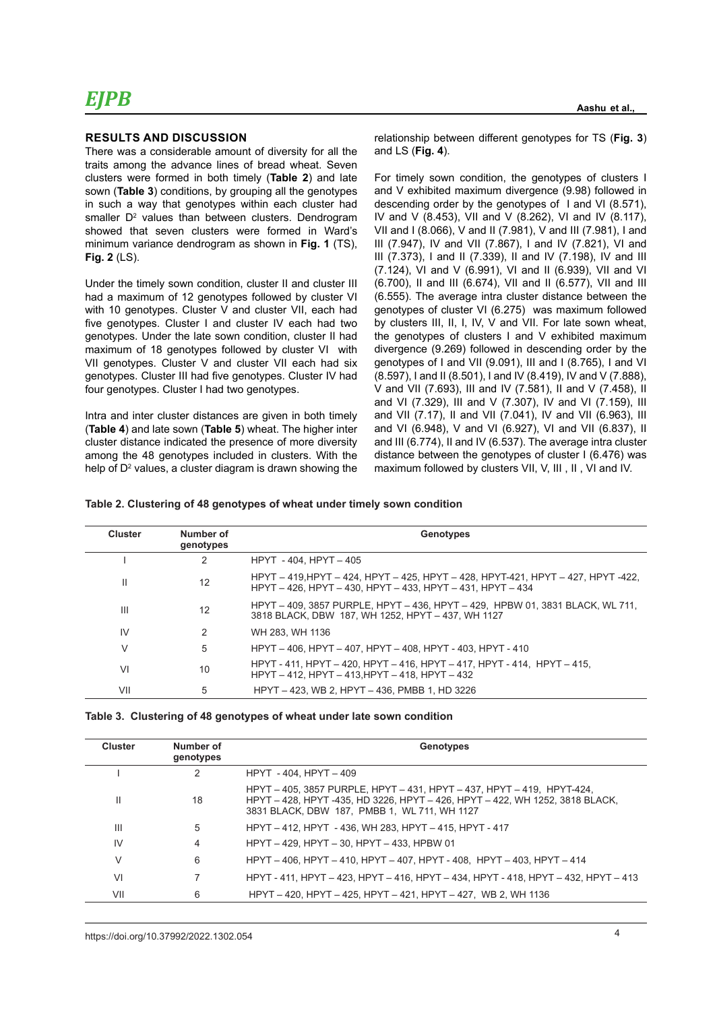#### **RESULTS AND DISCUSSION**

There was a considerable amount of diversity for all the traits among the advance lines of bread wheat. Seven clusters were formed in both timely (**Table 2**) and late sown (**Table 3**) conditions, by grouping all the genotypes in such a way that genotypes within each cluster had  $s$ maller  $D<sup>2</sup>$  values than between clusters. Dendrogram showed that seven clusters were formed in Ward's minimum variance dendrogram as shown in **Fig. 1** (TS), **Fig. 2** (LS).

Under the timely sown condition, cluster II and cluster III had a maximum of 12 genotypes followed by cluster VI with 10 genotypes. Cluster V and cluster VII, each had five genotypes. Cluster I and cluster IV each had two genotypes. Under the late sown condition, cluster II had maximum of 18 genotypes followed by cluster VI with VII genotypes. Cluster V and cluster VII each had six genotypes. Cluster III had five genotypes. Cluster IV had four genotypes. Cluster I had two genotypes.

Intra and inter cluster distances are given in both timely (**Table 4**) and late sown (**Table 5**) wheat. The higher inter cluster distance indicated the presence of more diversity among the 48 genotypes included in clusters. With the help of D<sup>2</sup> values, a cluster diagram is drawn showing the relationship between different genotypes for TS (**Fig. 3**) and LS (**Fig. 4**).

For timely sown condition, the genotypes of clusters I and V exhibited maximum divergence (9.98) followed in descending order by the genotypes of I and VI (8.571), IV and V (8.453), VII and V (8.262), VI and IV (8.117), VII and I (8.066), V and II (7.981), V and III (7.981), I and III (7.947), IV and VII (7.867), I and IV (7.821), VI and III (7.373), I and II (7.339), II and IV (7.198), IV and III (7.124), VI and V (6.991), VI and II (6.939), VII and VI (6.700), II and III (6.674), VII and II (6.577), VII and III (6.555). The average intra cluster distance between the genotypes of cluster VI (6.275) was maximum followed by clusters III, II, I, IV, V and VII. For late sown wheat, the genotypes of clusters I and V exhibited maximum divergence (9.269) followed in descending order by the genotypes of I and VII (9.091), III and I (8.765), I and VI (8.597), I and II (8.501), I and IV (8.419), IV and V (7.888), V and VII (7.693), III and IV (7.581), II and V (7.458), II and VI (7.329), III and V (7.307), IV and VI (7.159), III and VII (7.17), II and VII (7.041), IV and VII (6.963), III and VI (6.948), V and VI (6.927), VI and VII (6.837), II and III (6.774), II and IV (6.537). The average intra cluster distance between the genotypes of cluster I (6.476) was maximum followed by clusters VII, V, III , II , VI and IV.

|  |  | Table 2. Clustering of 48 genotypes of wheat under timely sown condition |
|--|--|--------------------------------------------------------------------------|
|  |  |                                                                          |

| <b>Cluster</b> | Number of<br>genotypes | Genotypes                                                                                                                                     |
|----------------|------------------------|-----------------------------------------------------------------------------------------------------------------------------------------------|
|                | 2                      | HPYT - 404. HPYT - 405                                                                                                                        |
| $\mathbf{H}$   | 12                     | HPYT – 419 HPYT – 424, HPYT – 425, HPYT – 428, HPYT-421, HPYT – 427, HPYT -422,<br>HPYT - 426. HPYT - 430. HPYT - 433. HPYT - 431. HPYT - 434 |
| $\mathbf{III}$ | 12                     | HPYT - 409, 3857 PURPLE, HPYT - 436, HPYT - 429, HPBW 01, 3831 BLACK, WL 711,<br>3818 BLACK, DBW 187, WH 1252, HPYT - 437, WH 1127            |
| IV             | 2                      | WH 283. WH 1136                                                                                                                               |
| $\vee$         | 5                      | HPYT - 406, HPYT - 407, HPYT - 408, HPYT - 403, HPYT - 410                                                                                    |
| VI             | 10                     | HPYT - 411, HPYT - 420, HPYT - 416, HPYT - 417, HPYT - 414, HPYT - 415,<br>HPYT-412, HPYT-413, HPYT-418, HPYT-432                             |
| VII            | 5                      | HPYT - 423, WB 2, HPYT - 436, PMBB 1, HD 3226                                                                                                 |

|  | Table 3. Clustering of 48 genotypes of wheat under late sown condition |  |  |  |  |
|--|------------------------------------------------------------------------|--|--|--|--|
|--|------------------------------------------------------------------------|--|--|--|--|

| <b>Cluster</b> | Number of<br>genotypes | Genotypes                                                                                                                                                                                              |
|----------------|------------------------|--------------------------------------------------------------------------------------------------------------------------------------------------------------------------------------------------------|
|                | 2                      | HPYT - 404. HPYT - 409                                                                                                                                                                                 |
| Ш              | 18                     | HPYT - 405, 3857 PURPLE, HPYT - 431, HPYT - 437, HPYT - 419, HPYT-424,<br>HPYT - 428, HPYT -435, HD 3226, HPYT - 426, HPYT - 422, WH 1252, 3818 BLACK,<br>3831 BLACK, DBW 187, PMBB 1, WL 711, WH 1127 |
| Ш              | 5                      | HPYT - 412, HPYT - 436, WH 283, HPYT - 415, HPYT - 417                                                                                                                                                 |
| IV             | 4                      | HPYT - 429. HPYT - 30. HPYT - 433. HPBW 01                                                                                                                                                             |
| ٧              | 6                      | HPYT - 406, HPYT - 410, HPYT - 407, HPYT - 408, HPYT - 403, HPYT - 414                                                                                                                                 |
| VI             |                        | HPYT - 411, HPYT - 423, HPYT - 416, HPYT - 434, HPYT - 418, HPYT - 432, HPYT - 413                                                                                                                     |
| VII            | 6                      | HPYT - 420, HPYT - 425, HPYT - 421, HPYT - 427, WB 2, WH 1136                                                                                                                                          |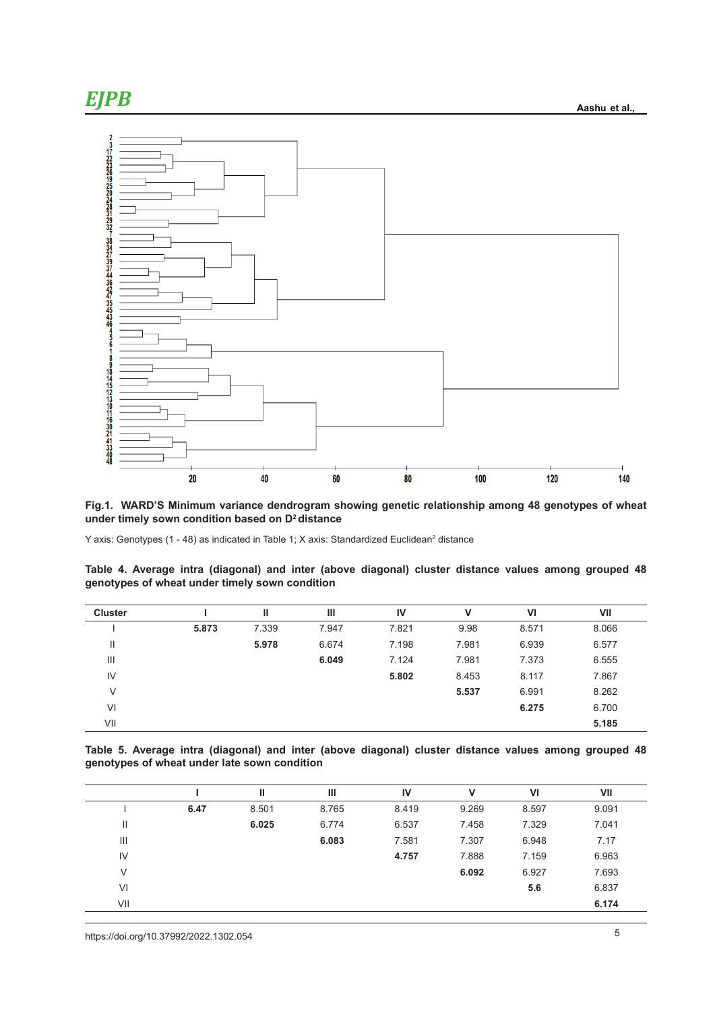



**Fig.1. WARD'S Minimum variance dendrogram showing genetic relationship among 48 genotypes of wheat under timely sown condition based on D2 distance**

Y axis: Genotypes (1 - 48) as indicated in Table 1; X axis: Standardized Euclidean<sup>2</sup> distance

| Table 4. Average intra (diagonal) and inter (above diagonal) cluster distance values among grouped 48<br>genotypes of wheat under timely sown condition |  |  |  |  |  |  |  |  |  |  |  |  |
|---------------------------------------------------------------------------------------------------------------------------------------------------------|--|--|--|--|--|--|--|--|--|--|--|--|

| <b>Cluster</b> |       | Ш     | Ш     | IV    | v     | VI    | VII   |
|----------------|-------|-------|-------|-------|-------|-------|-------|
|                | 5.873 | 7.339 | 7.947 | 7.821 | 9.98  | 8.571 | 8.066 |
| $\mathsf{II}$  |       | 5.978 | 6.674 | 7.198 | 7.981 | 6.939 | 6.577 |
| Ш              |       |       | 6.049 | 7.124 | 7.981 | 7.373 | 6.555 |
| $\mathsf{IV}$  |       |       |       | 5.802 | 8.453 | 8.117 | 7.867 |
| V              |       |       |       |       | 5.537 | 6.991 | 8.262 |
| VI             |       |       |       |       |       | 6.275 | 6.700 |
| VII            |       |       |       |       |       |       | 5.185 |

**Table 5. Average intra (diagonal) and inter (above diagonal) cluster distance values among grouped 48 genotypes of wheat under late sown condition**

|     |      |       | Ш     | IV    | v     | VI    | VII   |
|-----|------|-------|-------|-------|-------|-------|-------|
|     | 6.47 | 8.501 | 8.765 | 8.419 | 9.269 | 8.597 | 9.091 |
| Ш   |      | 6.025 | 6.774 | 6.537 | 7.458 | 7.329 | 7.041 |
| Ш   |      |       | 6.083 | 7.581 | 7.307 | 6.948 | 7.17  |
| IV  |      |       |       | 4.757 | 7.888 | 7.159 | 6.963 |
| V   |      |       |       |       | 6.092 | 6.927 | 7.693 |
| VI  |      |       |       |       |       | 5.6   | 6.837 |
| VII |      |       |       |       |       |       | 6.174 |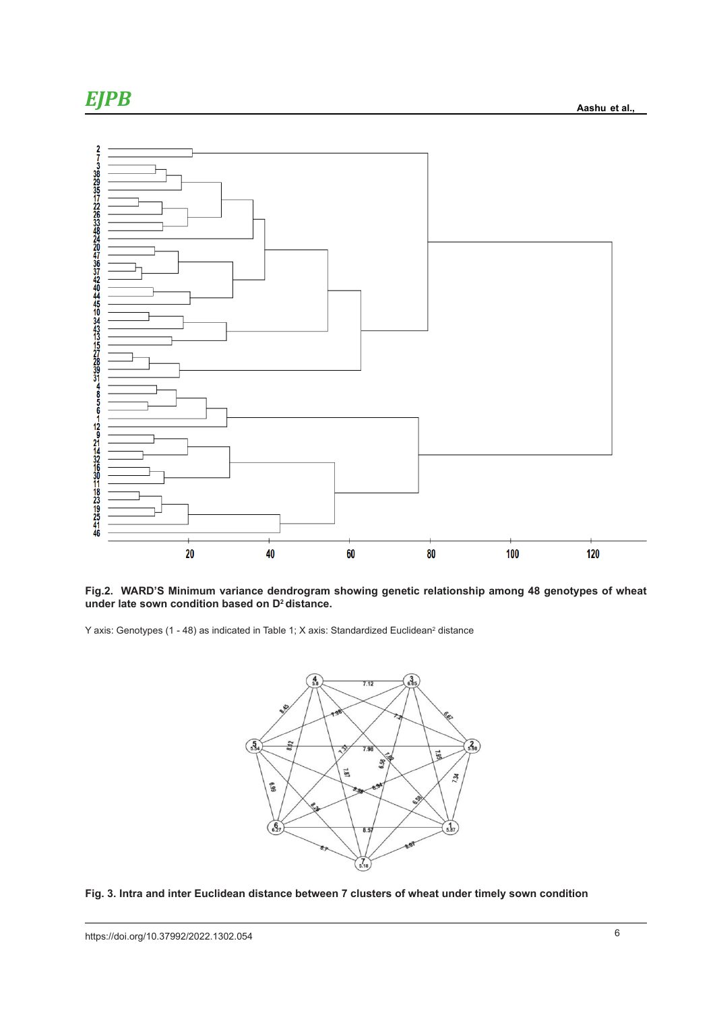

**Fig.2. WARD'S Minimum variance dendrogram showing genetic relationship among 48 genotypes of wheat under late sown condition based on D2 distance.** ig.2. WARD'S Minimum variance dendrogram showing genetic relationship among 48 genotypes of wh

Y axis: Genotypes (1 - 48) as indicated in Table 1; X axis: Standardized Euclidean<sup>2</sup> distance



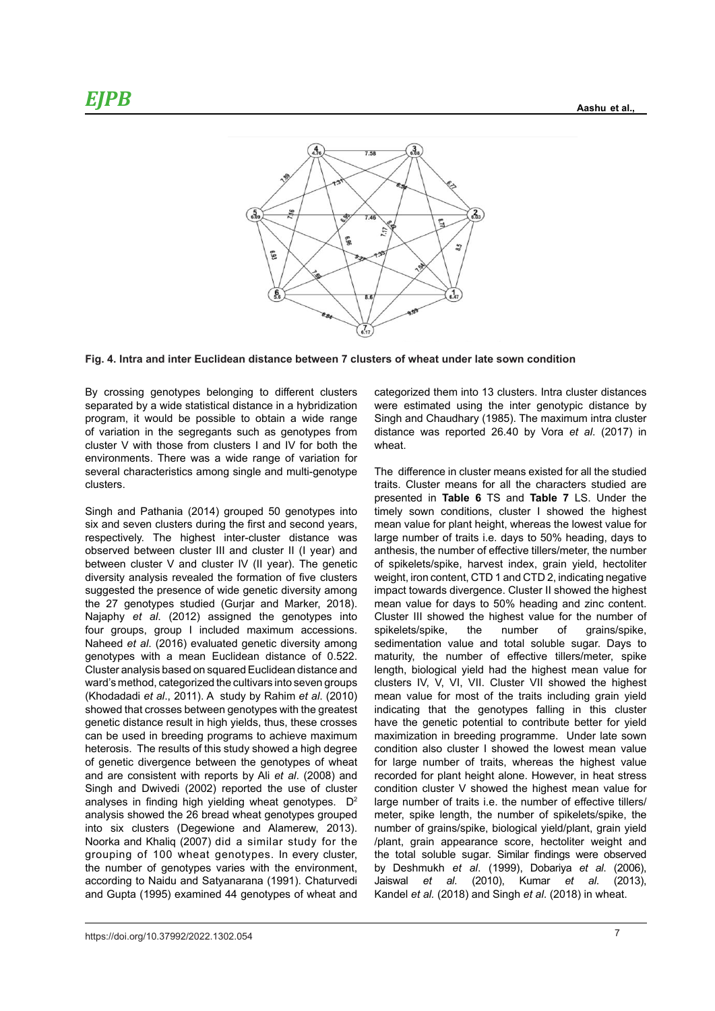

**Fig. 4. Intra and inter Euclidean distance between 7 clusters of wheat under late sown condition**

program, it would be possible to obtain a wide range<br>of variation in the segregants such as genotypes from environments. There was a wide range or variation for<br>several characteristics among single and multi-genotype The difference in cluster means existed for all the By crossing genotypes belonging to different clusters separated by a wide statistical distance in a hybridization program, it would be possible to obtain a wide range cluster V with those from clusters I and IV for both the environments. There was a wide range of variation for clusters.

six and seven clusters during the first and second years, mean value for plant height, whereas the lowest value between cluster V and cluster IV (II year). The genetic of spikelets/spike, harvest index, grain yield, hectolit wajaphy of an (2012) assigned the genotypes line cluster in showed the highest value for the humber<br>four groups, group I included maximum accessions. spikelets/spike, the number of grains/spik genotypes with a mean Euclidean distance of 0.522. maturity, the number of effective tillers/meter, sp showed that crosses between genotypes with the greatest indicating that the genotypes falling in this clus heterosis. The results of this study showed a high degree condition also cluster I showed the lowest mean va of genetic divergence between the genotypes of wheat for large number of traits, whereas the highest va Singh and Pathania (2014) grouped 50 genotypes into respectively. The highest inter-cluster distance was observed between cluster III and cluster II (I year) and diversity analysis revealed the formation of five clusters suggested the presence of wide genetic diversity among the 27 genotypes studied (Gurjar and Marker, 2018). Najaphy *et al*. (2012) assigned the genotypes into Naheed *et al*. (2016) evaluated genetic diversity among Cluster analysis based on squared Euclidean distance and ward's method, categorized the cultivars into seven groups (Khodadadi *et al*., 2011). A study by Rahim *et al*. (2010) genetic distance result in high yields, thus, these crosses can be used in breeding programs to achieve maximum and are consistent with reports by Ali *et al*. (2008) and Singh and Dwivedi (2002) reported the use of cluster analyses in finding high yielding wheat genotypes.  $D^2$ analysis showed the 26 bread wheat genotypes grouped into six clusters (Degewione and Alamerew, 2013). Noorka and Khaliq (2007) did a similar study for the grouping of 100 wheat genotypes. In every cluster, the number of genotypes varies with the environment, according to Naidu and Satyanarana (1991). Chaturvedi and Gupta (1995) examined 44 genotypes of wheat and

Fig.4.4. Interal and interpretal distance in a hybridization were estimated using the inter genotypic distance by categorized them into 13 clusters. Intra cluster distances Singh and Chaudhary (1985). The maximum intra cluster distance was reported 26.40 by Vora *et al*. (2017) in wheat.

lectively. The highest inter-cluster distance was large number of traits i.e. days to 50% heading, days to erved between cluster III and cluster II (I year) and anthesis, the number of effective tillers/meter, the number ersity analysis revealed the formation of five clusters veight, iron content, CTD 1 and CTD 2, indicating negative very analysis of the community of the constraints of the constraints of the state of the state of the presence of wide genetic diversity among impact towards divergence. Cluster II showed the highest gover the procence of the gone of the relation and single implementate an eigence claser in choice the inglesed<br>27 genotypes studied (Gurjar and Marker, 2018). mean value for days to 50% heading and zinc content. Intervalue of the station (Surjan and Markot, 2010). The model value for days to 00% heading and 2 life content.<br>Iaphy et al. (2012) assigned the genotypes into Cluster III showed the highest value for the number of **III II Share:** The Sasad on squared Euclidean distance and length, biological yield had the highest mean value for d's method, categorized the cultivars into seven groups clusters IV, V, VI, VII. Cluster VII showed the highest odadadi et al., 2011). A study by Rahim et al. (2010) mean value for most of the traits including grain yield etic distance result in high yields, thus, these crosses have the genetic potential to contribute better for yield l be used in breeding programs to achieve maximum maximization in breeding programme. Under late sown The difference in cluster means existed for all the studied traits. Cluster means for all the characters studied are presented in **Table 6** TS and **Table 7** LS. Under the timely sown conditions, cluster I showed the highest mean value for plant height, whereas the lowest value for of spikelets/spike, harvest index, grain yield, hectoliter spikelets/spike, the number of grains/spike, sedimentation value and total soluble sugar. Days to maturity, the number of effective tillers/meter, spike indicating that the genotypes falling in this cluster condition also cluster I showed the lowest mean value for large number of traits, whereas the highest value recorded for plant height alone. However, in heat stress condition cluster V showed the highest mean value for large number of traits i.e. the number of effective tillers/ meter, spike length, the number of spikelets/spike, the number of grains/spike, biological yield/plant, grain yield /plant, grain appearance score, hectoliter weight and the total soluble sugar. Similar findings were observed by Deshmukh *et al*. (1999), Dobariya *et al*. (2006), Jaiswal *et al*. (2010), Kumar *et al*. (2013), Kandel *et al.* (2018) and Singh *et al*. (2018) in wheat.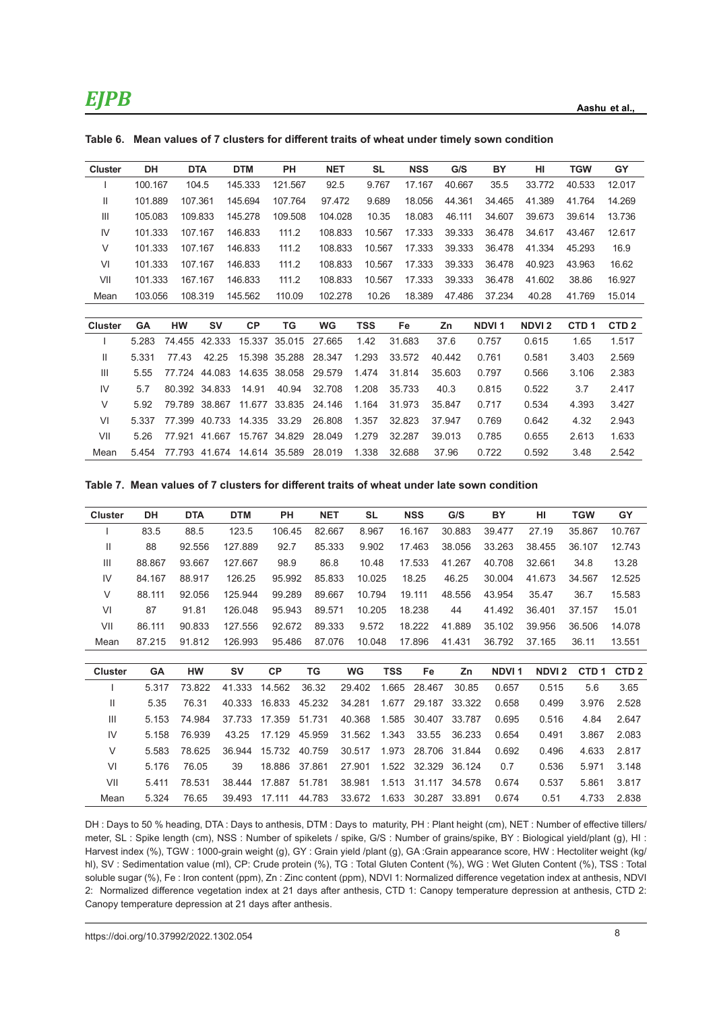| <b>Cluster</b> | DH      |         | <b>DTA</b>    | <b>DTM</b> | PH            | <b>NET</b> | SL         | <b>NSS</b> | G/S    | BY           | HI           | <b>TGW</b>       | GY               |
|----------------|---------|---------|---------------|------------|---------------|------------|------------|------------|--------|--------------|--------------|------------------|------------------|
|                | 100.167 |         | 104.5         | 145.333    | 121.567       | 92.5       | 9.767      | 17.167     | 40.667 | 35.5         | 33.772       | 40.533           | 12.017           |
| Ш              | 101.889 | 107.361 |               | 145.694    | 107.764       | 97.472     | 9.689      | 18.056     | 44.361 | 34.465       | 41.389       | 41.764           | 14.269           |
| Ш              | 105.083 |         | 109.833       | 145.278    | 109.508       | 104.028    | 10.35      | 18.083     | 46.111 | 34.607       | 39.673       | 39.614           | 13.736           |
| IV             | 101.333 |         | 107.167       | 146.833    | 111.2         | 108.833    | 10.567     | 17.333     | 39.333 | 36.478       | 34.617       | 43.467           | 12.617           |
| V              | 101.333 |         | 107.167       | 146.833    | 111.2         | 108.833    | 10.567     | 17.333     | 39.333 | 36.478       | 41.334       | 45.293           | 16.9             |
| VI             | 101.333 |         | 107.167       | 146.833    | 111.2         | 108.833    | 10.567     | 17.333     | 39.333 | 36.478       | 40.923       | 43.963           | 16.62            |
| VII            | 101.333 |         | 167.167       | 146.833    | 111.2         | 108.833    | 10.567     | 17.333     | 39.333 | 36.478       | 41.602       | 38.86            | 16.927           |
| Mean           | 103.056 |         | 108.319       | 145.562    | 110.09        | 102.278    | 10.26      | 18.389     | 47.486 | 37.234       | 40.28        | 41.769           | 15.014           |
|                |         |         |               |            |               |            |            |            |        |              |              |                  |                  |
| <b>Cluster</b> | GA      | HW      | <b>SV</b>     | <b>CP</b>  | TG            | <b>WG</b>  | <b>TSS</b> | Fe         | Zn     | <b>NDVI1</b> | <b>NDVI2</b> | CTD <sub>1</sub> | CTD <sub>2</sub> |
|                | 5.283   | 74.455  | 42.333        | 15.337     | 35.015        | 27.665     | 1.42       | 31.683     | 37.6   | 0.757        | 0.615        | 1.65             | 1.517            |
| Ш              | 5.331   | 77.43   | 42.25         |            | 15.398 35.288 | 28.347     | 1.293      | 33.572     | 40.442 | 0.761        | 0.581        | 3.403            | 2.569            |
| Ш              | 5.55    | 77.724  | 44.083        | 14.635     | 38.058        | 29.579     | 1.474      | 31.814     | 35.603 | 0.797        | 0.566        | 3.106            | 2.383            |
| IV             | 5.7     |         | 80.392 34.833 | 14.91      | 40.94         | 32.708     | 1.208      | 35.733     | 40.3   | 0.815        | 0.522        | 3.7              | 2.417            |
| V              | 5.92    | 79.789  | 38.867        | 11.677     | 33.835        | 24.146     | 1.164      | 31.973     | 35.847 | 0.717        | 0.534        | 4.393            | 3.427            |
| VI             | 5.337   | 77.399  | 40.733        | 14.335     | 33.29         | 26.808     | 1.357      | 32.823     | 37.947 | 0.769        | 0.642        | 4.32             | 2.943            |
| VII            | 5.26    | 77.921  | 41.667        | 15.767     | 34.829        | 28.049     | 1.279      | 32.287     | 39.013 | 0.785        | 0.655        | 2.613            | 1.633            |
| Mean           | 5.454   |         | 77.793 41.674 |            | 14.614 35.589 | 28.019     | 1.338      | 32.688     | 37.96  | 0.722        | 0.592        | 3.48             | 2.542            |

**Table 6. Mean values of 7 clusters for different traits of wheat under timely sown condition**

**Table 7. Mean values of 7 clusters for different traits of wheat under late sown condition**

| <b>Cluster</b> | DH     | <b>DTA</b> | <b>DTM</b> | PH        | <b>NET</b> | <b>SL</b> |            | <b>NSS</b> | G/S    | BY           | HI           | <b>TGW</b>       | GY               |
|----------------|--------|------------|------------|-----------|------------|-----------|------------|------------|--------|--------------|--------------|------------------|------------------|
|                | 83.5   | 88.5       | 123.5      | 106.45    | 82.667     | 8.967     |            | 16.167     | 30.883 | 39.477       | 27.19        | 35.867           | 10.767           |
| Ш              | 88     | 92.556     | 127.889    | 92.7      | 85.333     | 9.902     |            | 17.463     | 38.056 | 33.263       | 38.455       | 36.107           | 12.743           |
| Ш              | 88.867 | 93.667     | 127.667    | 98.9      | 86.8       | 10.48     |            | 17.533     | 41.267 | 40.708       | 32.661       | 34.8             | 13.28            |
| IV             | 84.167 | 88.917     | 126.25     | 95.992    | 85.833     | 10.025    |            | 18.25      | 46.25  | 30.004       | 41.673       | 34.567           | 12.525           |
| $\vee$         | 88.111 | 92.056     | 125.944    | 99.289    | 89.667     | 10.794    |            | 19.111     | 48.556 | 43.954       | 35.47        | 36.7             | 15.583           |
| VI             | 87     | 91.81      | 126.048    | 95.943    | 89.571     | 10.205    |            | 18.238     | 44     | 41.492       | 36.401       | 37.157           | 15.01            |
| VII            | 86.111 | 90.833     | 127.556    | 92.672    | 89.333     | 9.572     |            | 18.222     | 41.889 | 35.102       | 39.956       | 36.506           | 14.078           |
| Mean           | 87.215 | 91.812     | 126.993    | 95.486    | 87.076     | 10.048    |            | 17.896     | 41.431 | 36.792       | 37.165       | 36.11            | 13.551           |
|                |        |            |            |           |            |           |            |            |        |              |              |                  |                  |
| <b>Cluster</b> | GA     | HW         | <b>SV</b>  | <b>CP</b> | TG         | <b>WG</b> | <b>TSS</b> | Fe         | Zn     | <b>NDVI1</b> | <b>NDVI2</b> | CTD <sub>1</sub> | CTD <sub>2</sub> |
|                | 5.317  | 73.822     | 41.333     | 14.562    | 36.32      | 29.402    | 1.665      | 28.467     | 30.85  | 0.657        | 0.515        | 5.6              | 3.65             |
| Ш              | 5.35   | 76.31      | 40.333     | 16.833    | 45.232     | 34.281    | 1.677      | 29.187     | 33.322 | 0.658        | 0.499        | 3.976            | 2.528            |
| Ш              | 5.153  | 74.984     | 37.733     | 17.359    | 51.731     | 40.368    | 1.585      | 30.407     | 33.787 | 0.695        | 0.516        | 4.84             | 2.647            |
| IV             | 5.158  | 76.939     | 43.25      | 17.129    | 45.959     | 31.562    | 1.343      | 33.55      | 36.233 | 0.654        | 0.491        | 3.867            | 2.083            |
| V              | 5.583  | 78.625     | 36.944     | 15.732    | 40.759     | 30.517    | 1.973      | 28.706     | 31.844 | 0.692        | 0.496        | 4.633            | 2.817            |
| VI             | 5.176  | 76.05      | 39         | 18.886    | 37.861     | 27.901    | 1.522      | 32.329     | 36.124 | 0.7          | 0.536        | 5.971            | 3.148            |
| VII            | 5.411  | 78.531     | 38.444     | 17.887    | 51.781     | 38.981    | 1.513      | 31.117     | 34.578 | 0.674        | 0.537        | 5.861            | 3.817            |
| Mean           | 5.324  | 76.65      | 39.493     | 17.111    | 44.783     | 33.672    | 1.633      | 30.287     | 33.891 | 0.674        | 0.51         | 4.733            | 2.838            |

DH : Days to 50 % heading, DTA : Days to anthesis, DTM : Days to maturity, PH : Plant height (cm), NET : Number of effective tillers/ meter, SL : Spike length (cm), NSS : Number of spikelets / spike, G/S : Number of grains/spike, BY : Biological yield/plant (g), HI : Harvest index (%), TGW : 1000-grain weight (g), GY : Grain yield /plant (g), GA :Grain appearance score, HW : Hectoliter weight (kg/ hl), SV : Sedimentation value (ml), CP: Crude protein (%), TG : Total Gluten Content (%), WG : Wet Gluten Content (%), TSS : Total soluble sugar (%), Fe : Iron content (ppm), Zn : Zinc content (ppm), NDVI 1: Normalized difference vegetation index at anthesis, NDVI 2: Normalized difference vegetation index at 21 days after anthesis, CTD 1: Canopy temperature depression at anthesis, CTD 2: Canopy temperature depression at 21 days after anthesis.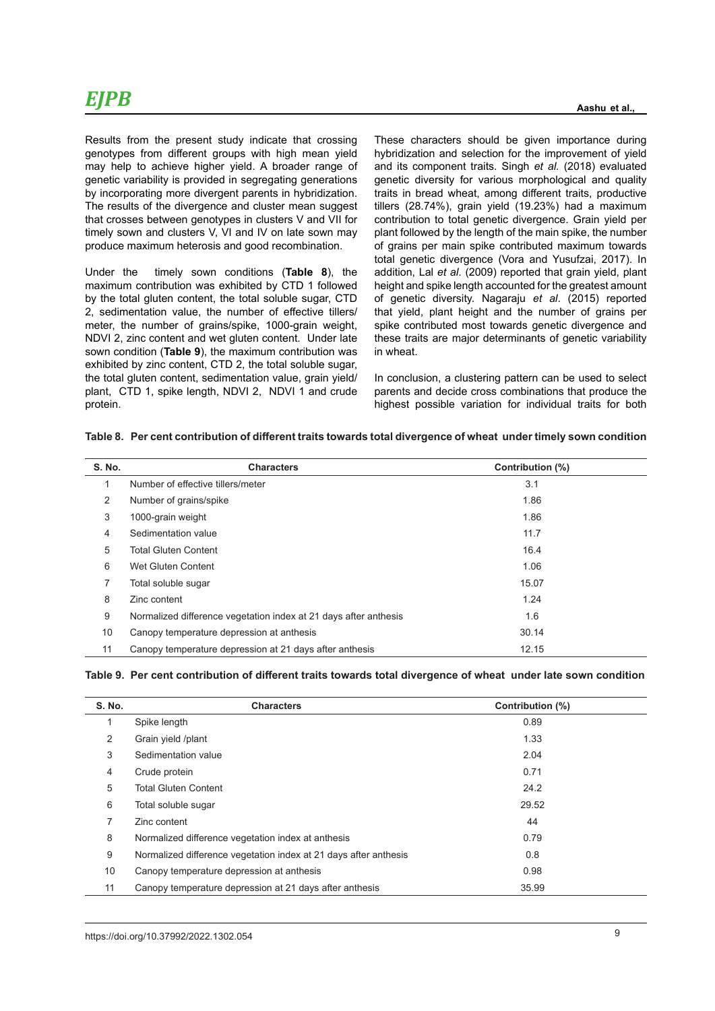Results from the present study indicate that crossing genotypes from different groups with high mean yield may help to achieve higher yield. A broader range of genetic variability is provided in segregating generations by incorporating more divergent parents in hybridization. The results of the divergence and cluster mean suggest that crosses between genotypes in clusters V and VII for timely sown and clusters V, VI and IV on late sown may produce maximum heterosis and good recombination.

Under the timely sown conditions (**Table 8**), the maximum contribution was exhibited by CTD 1 followed by the total gluten content, the total soluble sugar, CTD 2, sedimentation value, the number of effective tillers/ meter, the number of grains/spike, 1000-grain weight, NDVI 2, zinc content and wet gluten content. Under late sown condition (**Table 9**), the maximum contribution was exhibited by zinc content. CTD 2, the total soluble sugar, the total gluten content, sedimentation value, grain yield/ plant, CTD 1, spike length, NDVI 2, NDVI 1 and crude protein.

These characters should be given importance during hybridization and selection for the improvement of yield and its component traits. Singh *et al.* (2018) evaluated genetic diversity for various morphological and quality traits in bread wheat, among different traits, productive tillers (28.74%), grain yield (19.23%) had a maximum contribution to total genetic divergence. Grain yield per plant followed by the length of the main spike, the number of grains per main spike contributed maximum towards total genetic divergence (Vora and Yusufzai, 2017). In addition, Lal *et al*. (2009) reported that grain yield, plant height and spike length accounted for the greatest amount of genetic diversity. Nagaraju *et al*. (2015) reported that yield, plant height and the number of grains per spike contributed most towards genetic divergence and these traits are major determinants of genetic variability in wheat.

In conclusion, a clustering pattern can be used to select parents and decide cross combinations that produce the highest possible variation for individual traits for both

| <b>S. No.</b> | <b>Characters</b>                                                | Contribution (%) |
|---------------|------------------------------------------------------------------|------------------|
|               | Number of effective tillers/meter                                | 3.1              |
| 2             | Number of grains/spike                                           | 1.86             |
| 3             | 1000-grain weight                                                | 1.86             |
| 4             | Sedimentation value                                              | 11.7             |
| 5             | <b>Total Gluten Content</b>                                      | 16.4             |
| 6             | Wet Gluten Content                                               | 1.06             |
| 7             | Total soluble sugar                                              | 15.07            |
| 8             | Zinc content                                                     | 1.24             |
| 9             | Normalized difference vegetation index at 21 days after anthesis | 1.6              |
| 10            | Canopy temperature depression at anthesis                        | 30.14            |
| 11            | Canopy temperature depression at 21 days after anthesis          | 12.15            |

|  |  |  | Table 9. Per cent contribution of different traits towards total divergence of wheat under late sown condition |  |
|--|--|--|----------------------------------------------------------------------------------------------------------------|--|
|--|--|--|----------------------------------------------------------------------------------------------------------------|--|

| <b>S. No.</b> | <b>Characters</b>                                                | Contribution (%) |  |
|---------------|------------------------------------------------------------------|------------------|--|
| 1             | Spike length                                                     | 0.89             |  |
| 2             | Grain yield /plant                                               | 1.33             |  |
| 3             | Sedimentation value                                              | 2.04             |  |
| 4             | Crude protein                                                    | 0.71             |  |
| 5             | <b>Total Gluten Content</b>                                      | 24.2             |  |
| 6             | Total soluble sugar                                              | 29.52            |  |
| 7             | Zinc content                                                     | 44               |  |
| 8             | Normalized difference vegetation index at anthesis               | 0.79             |  |
| 9             | Normalized difference vegetation index at 21 days after anthesis | 0.8              |  |
| 10            | Canopy temperature depression at anthesis                        | 0.98             |  |
| 11            | Canopy temperature depression at 21 days after anthesis          | 35.99            |  |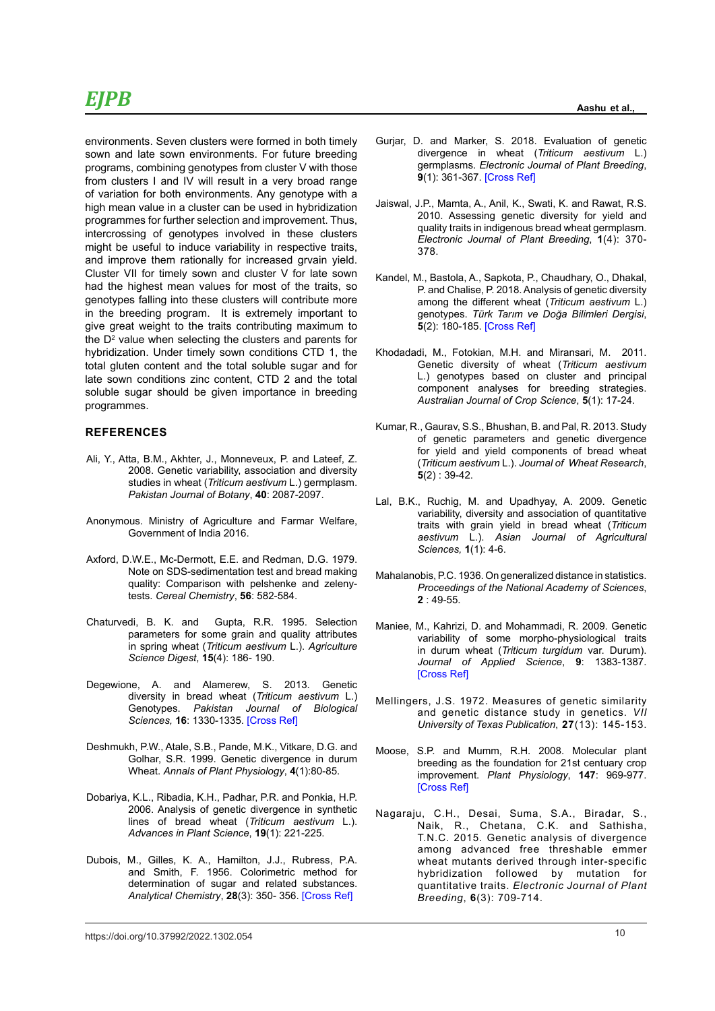environments. Seven clusters were formed in both timely sown and late sown environments. For future breeding programs, combining genotypes from cluster V with those from clusters I and IV will result in a very broad range of variation for both environments. Any genotype with a high mean value in a cluster can be used in hybridization programmes for further selection and improvement. Thus, intercrossing of genotypes involved in these clusters might be useful to induce variability in respective traits, and improve them rationally for increased grvain yield. Cluster VII for timely sown and cluster V for late sown had the highest mean values for most of the traits, so genotypes falling into these clusters will contribute more in the breeding program. It is extremely important to give great weight to the traits contributing maximum to the  $D<sup>2</sup>$  value when selecting the clusters and parents for hybridization. Under timely sown conditions CTD 1, the total gluten content and the total soluble sugar and for late sown conditions zinc content, CTD 2 and the total soluble sugar should be given importance in breeding programmes.

#### **REFERENCES**

- Ali, Y., Atta, B.M., Akhter, J., Monneveux, P. and Lateef, Z. 2008. Genetic variability, association and diversity studies in wheat (*Triticum aestivum* L.) germplasm. *Pakistan Journal of Botany*, **40**: 2087-2097.
- Anonymous. Ministry of Agriculture and Farmar Welfare, Government of India 2016.
- Axford, D.W.E., Mc-Dermott, E.E. and Redman, D.G. 1979. Note on SDS-sedimentation test and bread making quality: Comparison with pelshenke and zelenytests. *Cereal Chemistry*, **56**: 582-584.
- Chaturvedi, B. K. and Gupta, R.R. 1995. Selection parameters for some grain and quality attributes in spring wheat (*Triticum aestivum* L.). *Agriculture Science Digest*, **15**(4): 186- 190.
- Degewione, A. and Alamerew, S. 2013. Genetic diversity in bread wheat (*Triticum aestivum* L.) Genotypes. *Pakistan Journal of Biological Sciences,* **16**: 1330-1335. [\[Cross Ref\]](https://doi.org/10.3923/pjbs.2013.1330.1335)
- Deshmukh, P.W., Atale, S.B., Pande, M.K., Vitkare, D.G. and Golhar, S.R. 1999. Genetic divergence in durum Wheat. *Annals of Plant Physiology*, **4**(1):80-85.
- Dobariya, K.L., Ribadia, K.H., Padhar, P.R. and Ponkia, H.P. 2006. Analysis of genetic divergence in synthetic lines of bread wheat (*Triticum aestivum* L.). *Advances in Plant Science*, **19**(1): 221-225.
- Dubois, M., Gilles, K. A., Hamilton, J.J., Rubress, P.A. and Smith, F. 1956. Colorimetric method for determination of sugar and related substances. *Analytical Chemistry*, **28**(3): 350- 356. [[Cross Ref\]](https://doi.org/10.1021/ac60111a017)
- Gurjar, D. and Marker, S. 2018. Evaluation of genetic divergence in wheat (*Triticum aestivum* L.) germplasms. *Electronic Journal of Plant Breeding*, **9**(1): 361-367. [[Cross Ref\]](https://doi.org/10.5958/0975-928X.2018.00040.6)
- Jaiswal, J.P., Mamta, A., Anil, K., Swati, K. and Rawat, R.S. 2010. Assessing genetic diversity for yield and quality traits in indigenous bread wheat germplasm. *Electronic Journal of Plant Breeding*, **1**(4): 370- 378.
- Kandel, M., Bastola, A., Sapkota, P., Chaudhary, O., Dhakal, P. and Chalise, P. 2018. Analysis of genetic diversity among the different wheat (*Triticum aestivum* L.) genotypes. *Türk Tarım ve Doğa Bilimleri Dergisi*, **5**(2): 180-185. [\[Cross Ref\]](https://doi.org/10.30910/turkjans.421363)
- Khodadadi, M., Fotokian, M.H. and Miransari, M. 2011. Genetic diversity of wheat (*Triticum aestivum* L.) genotypes based on cluster and principal component analyses for breeding strategies. *Australian Journal of Crop Science*, **5**(1): 17-24.
- Kumar, R., Gaurav, S.S., Bhushan, B. and Pal, R. 2013. Study of genetic parameters and genetic divergence for yield and yield components of bread wheat (*Triticum aestivum* L.). *Journal of Wheat Research*, **5**(2) : 39-42.
- Lal, B.K., Ruchig, M. and Upadhyay, A. 2009. Genetic variability, diversity and association of quantitative traits with grain yield in bread wheat (*Triticum aestivum* L.). *Asian Journal of Agricultural Sciences,* **1**(1): 4-6.
- Mahalanobis, P.C. 1936. On generalized distance in statistics. *Proceedings of the National Academy of Sciences*, **2** : 49-55.
- Maniee, M., Kahrizi, D. and Mohammadi, R. 2009. Genetic variability of some morpho-physiological traits in durum wheat (*Triticum turgidum* var. Durum). *Journal of Applied Science*, **9**: 1383-1387. [\[Cross Ref\]](https://doi.org/10.3923/jas.2009.1383.1387)
- Mellingers, J.S. 1972. Measures of genetic similarity and genetic distance study in genetics. *VII University of Texas Publication*, **27**(13): 145-153.
- Moose, S.P. and Mumm, R.H. 2008. Molecular plant breeding as the foundation for 21st centuary crop improvement. *Plant Physiology*, **147**: 969-977. [\[Cross Ref\]](https://doi.org/10.1104/pp.108.118232)
- Nagaraju, C.H., Desai, Suma, S.A., Biradar, S., Naik, R., Chetana, C.K. and Sathisha, T.N.C. 2015. Genetic analysis of divergence among advanced free threshable emmer wheat mutants derived through inter-specific hybridization followed by mutation for quantitative traits. *Electronic Journal of Plant Breeding*, **6**(3): 709-714.

10 https://doi.org/10.37992/2022.1302.054